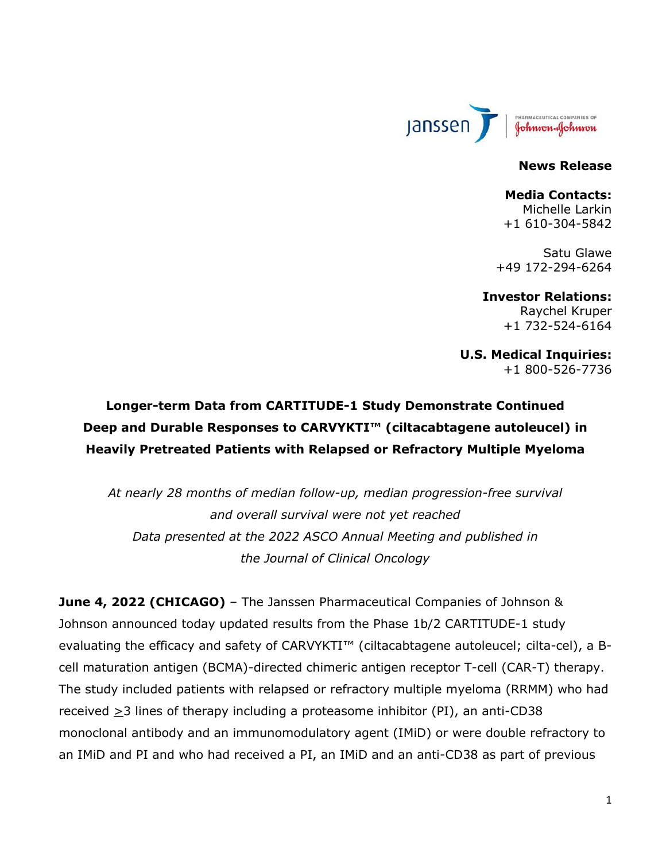

#### **News Release**

#### **Media Contacts:**

Michelle Larkin +1 610-304-5842

Satu Glawe +49 172-294-6264

#### **Investor Relations:**

Raychel Kruper +1 732-524-6164

**U.S. Medical Inquiries:** +1 800-526-7736

# **Longer-term Data from CARTITUDE-1 Study Demonstrate Continued Deep and Durable Responses to CARVYKTI™ (ciltacabtagene autoleucel) in Heavily Pretreated Patients with Relapsed or Refractory Multiple Myeloma**

*At nearly 28 months of median follow-up, median progression-free survival and overall survival were not yet reached Data presented at the 2022 ASCO Annual Meeting and published in the Journal of Clinical Oncology*

**June 4, 2022 (CHICAGO)** – The Janssen Pharmaceutical Companies of Johnson & Johnson announced today updated results from the Phase 1b/2 CARTITUDE-1 study evaluating the efficacy and safety of CARVYKTI™ (ciltacabtagene autoleucel; cilta-cel), a Bcell maturation antigen (BCMA)-directed chimeric antigen receptor T-cell (CAR-T) therapy. The study included patients with relapsed or refractory multiple myeloma (RRMM) who had received  $\geq$ 3 lines of therapy including a proteasome inhibitor (PI), an anti-CD38 monoclonal antibody and an immunomodulatory agent (IMiD) or were double refractory to an IMiD and PI and who had received a PI, an IMiD and an anti-CD38 as part of previous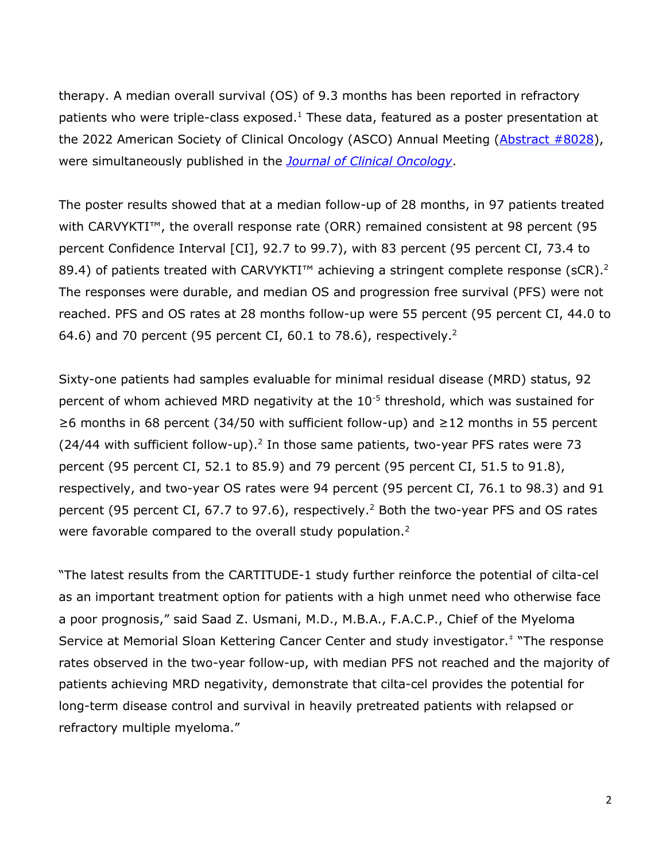therapy. A median overall survival (OS) of 9.3 months has been reported in refractory patients who were triple-class exposed.<sup>1</sup> These data, featured as a poster presentation at the 2022 American Society of Clinical Oncology (ASCO) Annual Meeting [\(Abstract #8028\)](https://meetings.asco.org/abstracts-presentations/207928), were simultaneously published in the *[Journal of Clinical Oncology](https://ascopubs.org/doi/full/10.1200/JCO.22.00842)*.

<span id="page-1-0"></span>The poster results showed that at a median follow-up of 28 months, in 97 patients treated with CARVYKTI<sup>™</sup>, the overall response rate (ORR) remained consistent at 98 percent (95 percent Confidence Interval [CI], 92.7 to 99.7), with 83 percent (95 percent CI, 73.4 to 89.4) of patients treated with CARVYKTI<sup> $m$ </sup> achieving a stringent complete response (sCR).<sup>2</sup> The responses were durable, and median OS and progression free survival (PFS) were not reached. PFS and OS rates at 28 months follow-up were 55 percent (95 percent CI, 44.0 to 64[.](#page-1-0)6) and 70 percent (95 percent CI, 60.1 to 78.6), respectively.<sup>2</sup>

Sixty-one patients had samples evaluable for minimal residual disease (MRD) status, 92 percent of whom achieved MRD negativity at the 10<sup>-5</sup> threshold, which was sustained for ≥6 months in 68 percent (34/50 with sufficient follow-up) and ≥12 months in 55 percent  $(24/44$  $(24/44$  $(24/44$  with sufficient follow-up).<sup>2</sup> In those same patients, two-year PFS rates were 73 percent (95 percent CI, 52.1 to 85.9) and 79 percent (95 percent CI, 51.5 to 91.8), respectively, and two-year OS rates were 94 percent (95 percent CI, 76.1 to 98.3) and 91 percent (95 percent CI, 67.7 to 97.6), respectively.<sup>[2](#page-1-0)</sup> Both the two-year PFS and OS rates were favorable compared to the overall study population.<sup>[2](#page-1-0)</sup>

"The latest results from the CARTITUDE-1 study further reinforce the potential of cilta-cel as an important treatment option for patients with a high unmet need who otherwise face a poor prognosis," said Saad Z. Usmani, M.D., M.B.A., F.A.C.P., Chief of the Myeloma Service at Memorial Sloan Kettering Cancer Center and study investigator. ‡ "The response rates observed in the two-year follow-up, with median PFS not reached and the majority of patients achieving MRD negativity, demonstrate that cilta-cel provides the potential for long-term disease control and survival in heavily pretreated patients with relapsed or refractory multiple myeloma."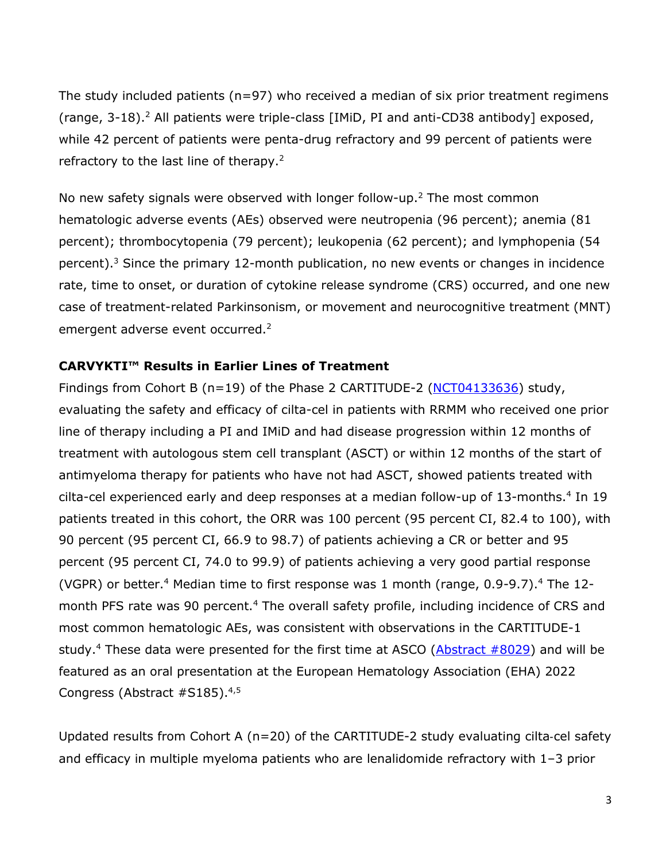The study included patients ( $n=97$ ) who received a median of six prior treatment regimens (range, 3-18).<sup>[2](#page-1-0)</sup> All patients were triple-class [IMiD, PI and anti-CD38 antibody] exposed, while 42 percent of patients were penta-drug refractory and 99 percent of patients were refractory to the last line of therapy.<sup>[2](#page-1-0)</sup>

No new safety signals were observed with longer follow-up.<sup>[2](#page-1-0)</sup> The most common hematologic adverse events (AEs) observed were neutropenia (96 percent); anemia (81 percent); thrombocytopenia (79 percent); leukopenia (62 percent); and lymphopenia (54 percent).<sup>3</sup> Since the primary 12-month publication, no new events or changes in incidence rate, time to onset, or duration of cytokine release syndrome (CRS) occurred, and one new case of treatment-related Parkinsonism, or movement and neurocognitive treatment (MNT) emergent adverse event occurred.<sup>[2](#page-1-0)</sup>

### **CARVYKTI™ Results in Earlier Lines of Treatment**

Findings from Cohort B (n=19) of the Phase 2 CARTITUDE-2 ( $NCT04133636$ ) study, evaluating the safety and efficacy of cilta-cel in patients with RRMM who received one prior line of therapy including a PI and IMiD and had disease progression within 12 months of treatment with autologous stem cell transplant (ASCT) or within 12 months of the start of antimyeloma therapy for patients who have not had ASCT, showed patients treated with cilta-cel experienced early and deep responses at a median follow-up of 13-months[.](#page-2-0)<sup>4</sup> In 19 patients treated in this cohort, the ORR was 100 percent (95 percent CI, 82.4 to 100), with 90 percent (95 percent CI, 66.9 to 98.7) of patients achieving a CR or better and 95 percent (95 percent CI, 74.0 to 99.9) of patients achieving a very good partial response (VGPR) or better.<sup>[4](#page-2-0)</sup> Median time to first response was 1 month (range, 0[.](#page-2-0)9-9.7).<sup>4</sup> The 12-month PFS rate was 90 percent.<sup>[4](#page-2-0)</sup> The overall safety profile, including incidence of CRS and most common hematologic AEs, was consistent with observations in the CARTITUDE-1 study.<sup>[4](#page-2-0)</sup> These data were presented for the first time at ASCO ( $\Delta$ bstract #8029) and will be featured as an oral presentation at the European Hematology Association (EHA) 2022 Congress (Abstract #S185).4,5

<span id="page-2-0"></span>Updated results from Cohort A (n=20) of the CARTITUDE-2 study evaluating cilta-cel safety and efficacy in multiple myeloma patients who are lenalidomide refractory with 1–3 prior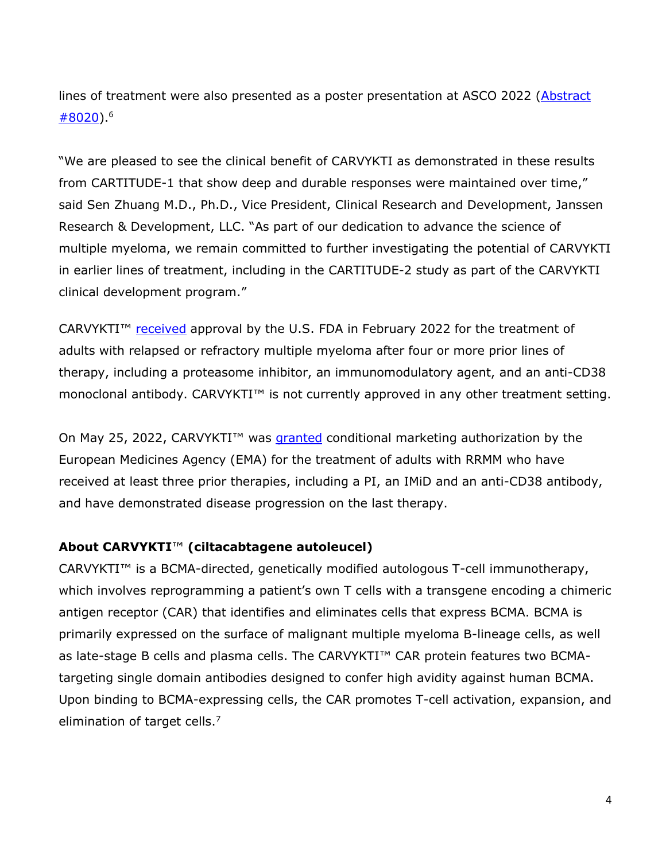lines of treatment were also presented as a poster presentation at ASCO 2022 [\(Abstract](https://meetings.asco.org/abstracts-presentations/207899)  [#8020\)](https://meetings.asco.org/abstracts-presentations/207899). 6

"We are pleased to see the clinical benefit of CARVYKTI as demonstrated in these results from CARTITUDE-1 that show deep and durable responses were maintained over time," said Sen Zhuang M.D., Ph.D., Vice President, Clinical Research and Development, Janssen Research & Development, LLC. "As part of our dedication to advance the science of multiple myeloma, we remain committed to further investigating the potential of CARVYKTI in earlier lines of treatment, including in the CARTITUDE-2 study as part of the CARVYKTI clinical development program."

CARVYKTI<sup>™</sup> [received](https://www.janssen.com/us-fda-approves-carvykti-ciltacabtagene-autoleucel-janssens-first-cell-therapy-bcma-directed-car-t) approval by the U.S. FDA in February 2022 for the treatment of adults with relapsed or refractory multiple myeloma after four or more prior lines of therapy, including a proteasome inhibitor, an immunomodulatory agent, and an anti-CD38 monoclonal antibody. CARVYKTI™ is not currently approved in any other treatment setting.

On May 25, 2022, CARVYKTI<sup>™</sup> was *[granted](https://www.jnj.com/european-commission-grants-conditional-approval-of-carvykti-ciltacabtagene-autoleucel-janssens-first-cell-therapy-for-the-treatment-of-patients-with-relapsed-and-refractory-multiple-myeloma)* conditional marketing authorization by the European Medicines Agency (EMA) for the treatment of adults with RRMM who have received at least three prior therapies, including a PI, an IMiD and an anti-CD38 antibody, and have demonstrated disease progression on the last therapy.

## **About CARVYKTI**™ **(ciltacabtagene autoleucel)**

CARVYKTI™ is a BCMA-directed, genetically modified autologous T-cell immunotherapy, which involves reprogramming a patient's own T cells with a transgene encoding a chimeric antigen receptor (CAR) that identifies and eliminates cells that express BCMA. BCMA is primarily expressed on the surface of malignant multiple myeloma B-lineage cells, as well as late-stage B cells and plasma cells. The CARVYKTI™ CAR protein features two BCMAtargeting single domain antibodies designed to confer high avidity against human BCMA. Upon binding to BCMA-expressing cells, the CAR promotes T-cell activation, expansion, and elimination of target cells.<sup>7</sup>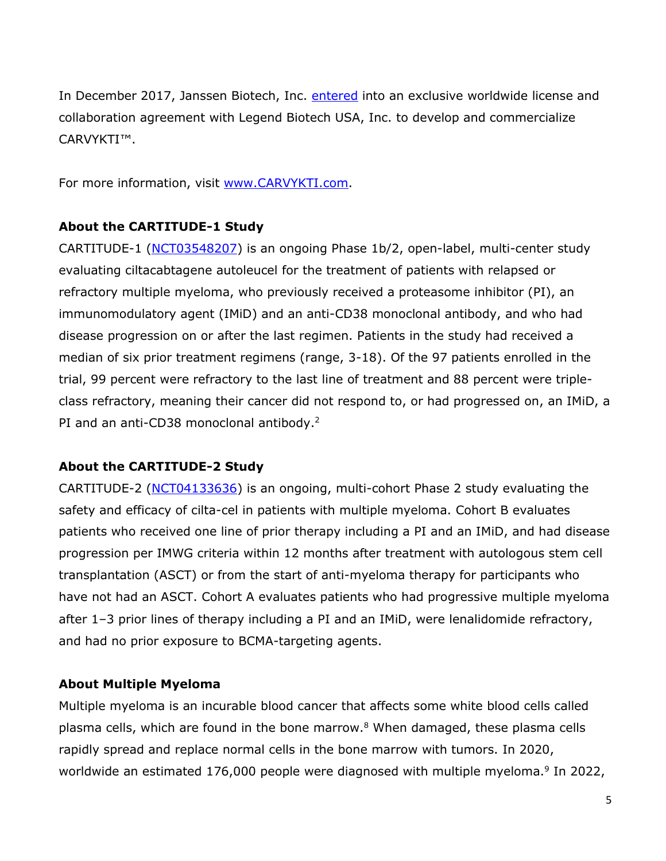In December 2017, Janssen Biotech, Inc. [entered](https://www.jnj.com/media-center/press-releases/janssen-enters-worldwide-collaboration-and-license-agreement-with-chinese-company-legend-biotech-to-develop-investigational-car-t-anti-cancer-therapy) into an exclusive worldwide license and collaboration agreement with Legend Biotech USA, Inc. to develop and commercialize CARVYKTI™.

For more information, visit [www.CARVYKTI.com.](http://www.carvykti.com/)

### **About the CARTITUDE-1 Study**

CARTITUDE-1 [\(NCT03548207\)](https://www.clinicaltrials.gov/ct2/show/NCT03548207) is an ongoing Phase 1b/2, open-label, multi-center study evaluating ciltacabtagene autoleucel for the treatment of patients with relapsed or refractory multiple myeloma, who previously received a proteasome inhibitor (PI), an immunomodulatory agent (IMiD) and an anti-CD38 monoclonal antibody, and who had disease progression on or after the last regimen. Patients in the study had received a median of six prior treatment regimens (range, 3-18). Of the 97 patients enrolled in the trial, 99 percent were refractory to the last line of treatment and 88 percent were tripleclass refractory, meaning their cancer did not respond to, or had progressed on, an IMiD, a PI and an anti-CD38 monoclonal antibody.<sup>[2](#page-1-0)</sup>

### **About the CARTITUDE-2 Study**

CARTITUDE-2 [\(NCT04133636\)](https://clinicaltrials.gov/ct2/show/NCT04133636) is an ongoing, multi-cohort Phase 2 study evaluating the safety and efficacy of cilta-cel in patients with multiple myeloma. Cohort B evaluates patients who received one line of prior therapy including a PI and an IMiD, and had disease progression per IMWG criteria within 12 months after treatment with autologous stem cell transplantation (ASCT) or from the start of anti-myeloma therapy for participants who have not had an ASCT. Cohort A evaluates patients who had progressive multiple myeloma after 1–3 prior lines of therapy including a PI and an IMiD, were lenalidomide refractory, and had no prior exposure to BCMA-targeting agents.

### **About Multiple Myeloma**

<span id="page-4-0"></span>Multiple myeloma is an incurable blood cancer that affects some white blood cells called plasma cells, which are found in the bone marrow.<sup>8</sup> When damaged, these plasma cells rapidly spread and replace normal cells in the bone marrow with tumors. In 2020, worldwide an estimated 176,000 people were diagnosed with multiple myeloma.<sup>9</sup> In 2022,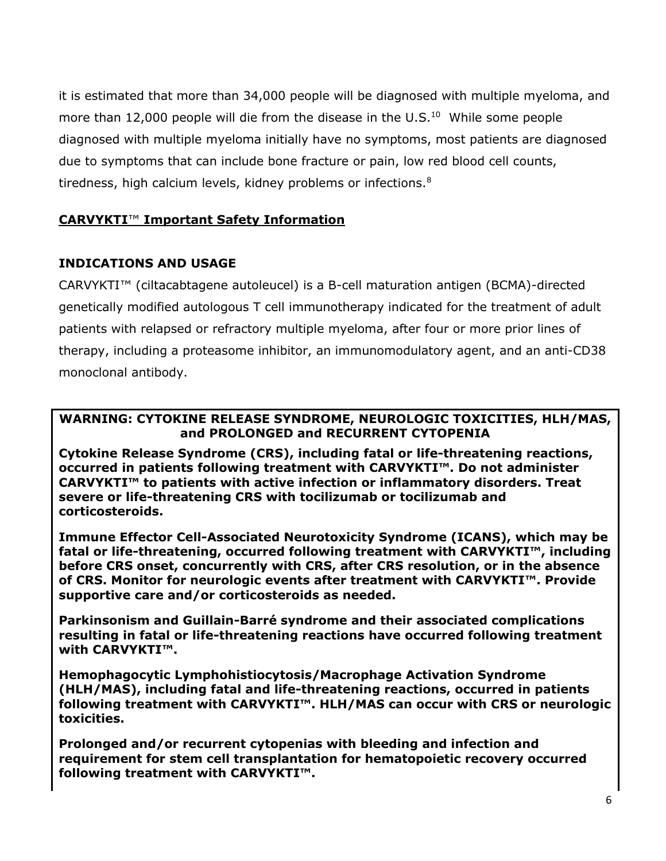it is estimated that more than 34,000 people will be diagnosed with multiple myeloma, and more than 12,000 people will die from the disease in the U.S. $^{10}$  While some people diagnosed with multiple myeloma initially have no symptoms, most patients are diagnosed due to symptoms that can include bone fracture or pain, low red blood cell counts, tiredness, high calcium levels, kidney problems or infections.<sup>[8](#page-4-0)</sup>

# **CARVYKTI**™ **Important Safety Information**

## **INDICATIONS AND USAGE**

CARVYKTI™ (ciltacabtagene autoleucel) is a B-cell maturation antigen (BCMA)-directed genetically modified autologous T cell immunotherapy indicated for the treatment of adult patients with relapsed or refractory multiple myeloma, after four or more prior lines of therapy, including a proteasome inhibitor, an immunomodulatory agent, and an anti-CD38 monoclonal antibody.

### **WARNING: CYTOKINE RELEASE SYNDROME, NEUROLOGIC TOXICITIES, HLH/MAS, and PROLONGED and RECURRENT CYTOPENIA**

**Cytokine Release Syndrome (CRS), including fatal or life-threatening reactions, occurred in patients following treatment with CARVYKTI™. Do not administer CARVYKTI™ to patients with active infection or inflammatory disorders. Treat severe or life-threatening CRS with tocilizumab or tocilizumab and corticosteroids.**

**Immune Effector Cell-Associated Neurotoxicity Syndrome (ICANS), which may be fatal or life-threatening, occurred following treatment with CARVYKTI™, including before CRS onset, concurrently with CRS, after CRS resolution, or in the absence of CRS. Monitor for neurologic events after treatment with CARVYKTI™. Provide supportive care and/or corticosteroids as needed.**

**Parkinsonism and Guillain-Barré syndrome and their associated complications resulting in fatal or life-threatening reactions have occurred following treatment with CARVYKTI™.**

**Hemophagocytic Lymphohistiocytosis/Macrophage Activation Syndrome (HLH/MAS), including fatal and life-threatening reactions, occurred in patients following treatment with CARVYKTI™. HLH/MAS can occur with CRS or neurologic toxicities.**

**Prolonged and/or recurrent cytopenias with bleeding and infection and requirement for stem cell transplantation for hematopoietic recovery occurred following treatment with CARVYKTI™.**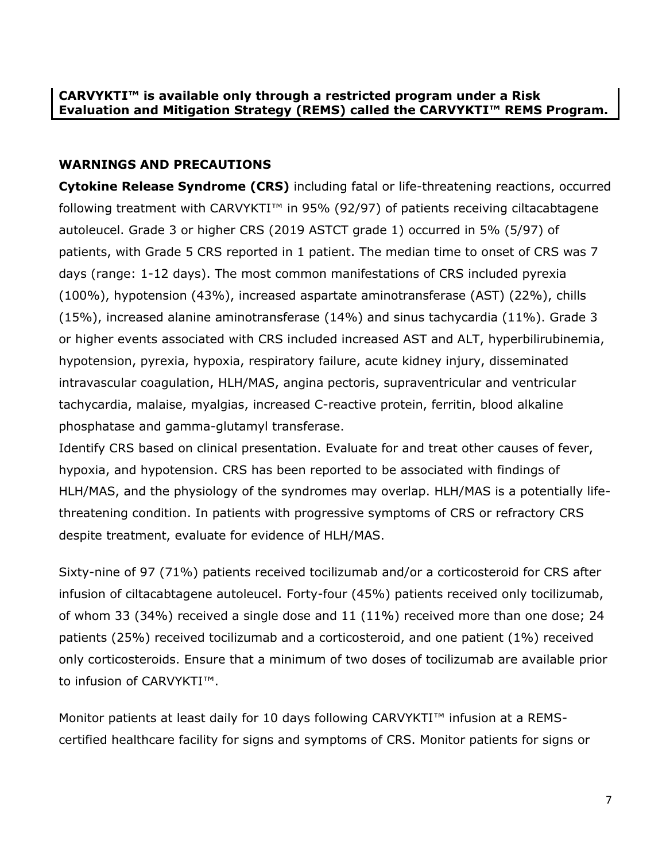# **WARNINGS AND PRECAUTIONS**

**Cytokine Release Syndrome (CRS)** including fatal or life-threatening reactions, occurred following treatment with CARVYKTI™ in 95% (92/97) of patients receiving ciltacabtagene autoleucel. Grade 3 or higher CRS (2019 ASTCT grade 1) occurred in 5% (5/97) of patients, with Grade 5 CRS reported in 1 patient. The median time to onset of CRS was 7 days (range: 1-12 days). The most common manifestations of CRS included pyrexia (100%), hypotension (43%), increased aspartate aminotransferase (AST) (22%), chills (15%), increased alanine aminotransferase (14%) and sinus tachycardia (11%). Grade 3 or higher events associated with CRS included increased AST and ALT, hyperbilirubinemia, hypotension, pyrexia, hypoxia, respiratory failure, acute kidney injury, disseminated intravascular coagulation, HLH/MAS, angina pectoris, supraventricular and ventricular tachycardia, malaise, myalgias, increased C-reactive protein, ferritin, blood alkaline phosphatase and gamma-glutamyl transferase.

Identify CRS based on clinical presentation. Evaluate for and treat other causes of fever, hypoxia, and hypotension. CRS has been reported to be associated with findings of HLH/MAS, and the physiology of the syndromes may overlap. HLH/MAS is a potentially lifethreatening condition. In patients with progressive symptoms of CRS or refractory CRS despite treatment, evaluate for evidence of HLH/MAS.

Sixty-nine of 97 (71%) patients received tocilizumab and/or a corticosteroid for CRS after infusion of ciltacabtagene autoleucel. Forty-four (45%) patients received only tocilizumab, of whom 33 (34%) received a single dose and 11 (11%) received more than one dose; 24 patients (25%) received tocilizumab and a corticosteroid, and one patient (1%) received only corticosteroids. Ensure that a minimum of two doses of tocilizumab are available prior to infusion of CARVYKTI™.

Monitor patients at least daily for 10 days following CARVYKTI™ infusion at a REMScertified healthcare facility for signs and symptoms of CRS. Monitor patients for signs or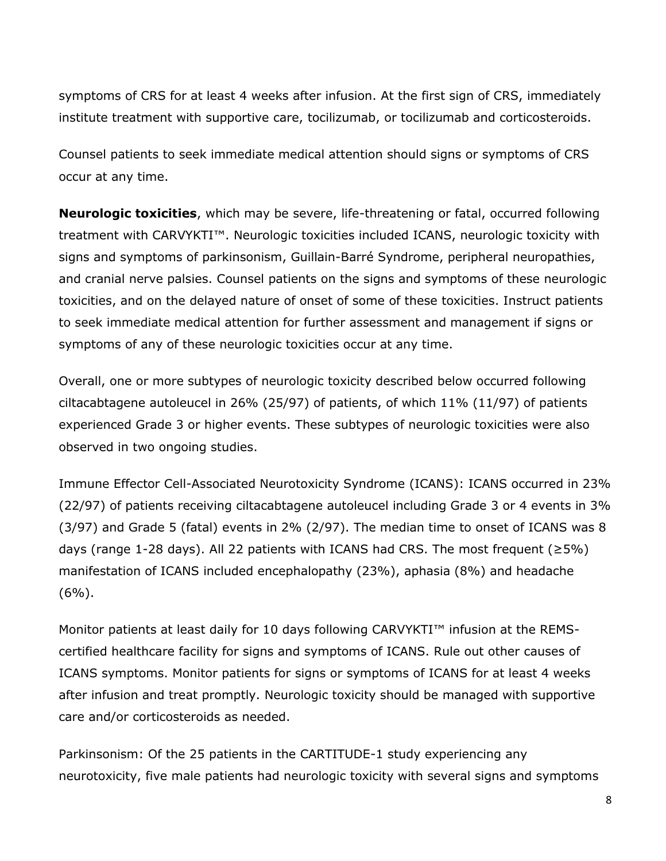symptoms of CRS for at least 4 weeks after infusion. At the first sign of CRS, immediately institute treatment with supportive care, tocilizumab, or tocilizumab and corticosteroids.

Counsel patients to seek immediate medical attention should signs or symptoms of CRS occur at any time.

**Neurologic toxicities**, which may be severe, life-threatening or fatal, occurred following treatment with CARVYKTI™. Neurologic toxicities included ICANS, neurologic toxicity with signs and symptoms of parkinsonism, Guillain-Barré Syndrome, peripheral neuropathies, and cranial nerve palsies. Counsel patients on the signs and symptoms of these neurologic toxicities, and on the delayed nature of onset of some of these toxicities. Instruct patients to seek immediate medical attention for further assessment and management if signs or symptoms of any of these neurologic toxicities occur at any time.

Overall, one or more subtypes of neurologic toxicity described below occurred following ciltacabtagene autoleucel in 26% (25/97) of patients, of which 11% (11/97) of patients experienced Grade 3 or higher events. These subtypes of neurologic toxicities were also observed in two ongoing studies.

Immune Effector Cell-Associated Neurotoxicity Syndrome (ICANS): ICANS occurred in 23% (22/97) of patients receiving ciltacabtagene autoleucel including Grade 3 or 4 events in 3% (3/97) and Grade 5 (fatal) events in 2% (2/97). The median time to onset of ICANS was 8 days (range 1-28 days). All 22 patients with ICANS had CRS. The most frequent ( $\geq 5\%$ ) manifestation of ICANS included encephalopathy (23%), aphasia (8%) and headache  $(6\%)$ .

Monitor patients at least daily for 10 days following CARVYKTI™ infusion at the REMScertified healthcare facility for signs and symptoms of ICANS. Rule out other causes of ICANS symptoms. Monitor patients for signs or symptoms of ICANS for at least 4 weeks after infusion and treat promptly. Neurologic toxicity should be managed with supportive care and/or corticosteroids as needed.

Parkinsonism: Of the 25 patients in the CARTITUDE-1 study experiencing any neurotoxicity, five male patients had neurologic toxicity with several signs and symptoms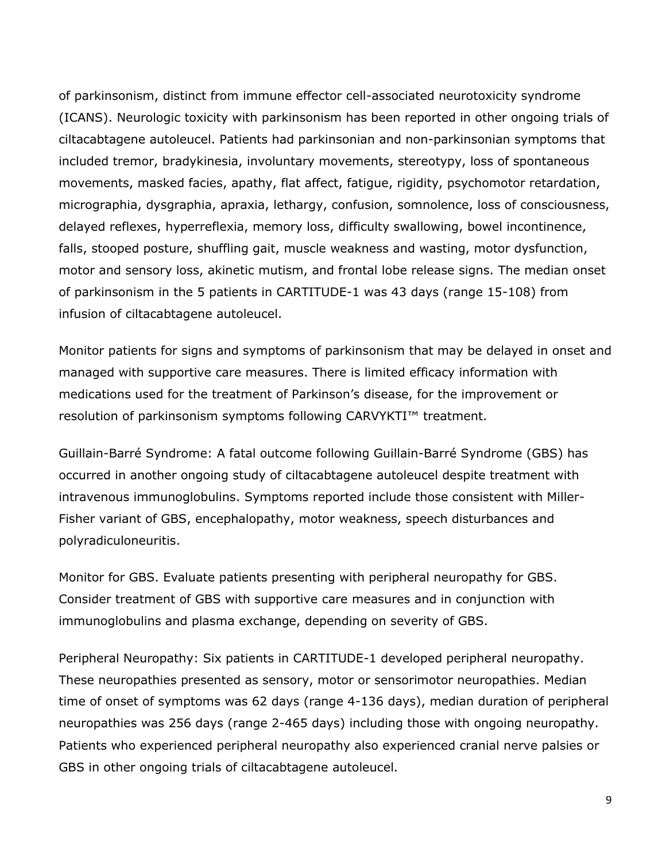of parkinsonism, distinct from immune effector cell-associated neurotoxicity syndrome (ICANS). Neurologic toxicity with parkinsonism has been reported in other ongoing trials of ciltacabtagene autoleucel. Patients had parkinsonian and non-parkinsonian symptoms that included tremor, bradykinesia, involuntary movements, stereotypy, loss of spontaneous movements, masked facies, apathy, flat affect, fatigue, rigidity, psychomotor retardation, micrographia, dysgraphia, apraxia, lethargy, confusion, somnolence, loss of consciousness, delayed reflexes, hyperreflexia, memory loss, difficulty swallowing, bowel incontinence, falls, stooped posture, shuffling gait, muscle weakness and wasting, motor dysfunction, motor and sensory loss, akinetic mutism, and frontal lobe release signs. The median onset of parkinsonism in the 5 patients in CARTITUDE-1 was 43 days (range 15-108) from infusion of ciltacabtagene autoleucel.

Monitor patients for signs and symptoms of parkinsonism that may be delayed in onset and managed with supportive care measures. There is limited efficacy information with medications used for the treatment of Parkinson's disease, for the improvement or resolution of parkinsonism symptoms following CARVYKTI™ treatment.

Guillain-Barré Syndrome: A fatal outcome following Guillain-Barré Syndrome (GBS) has occurred in another ongoing study of ciltacabtagene autoleucel despite treatment with intravenous immunoglobulins. Symptoms reported include those consistent with Miller-Fisher variant of GBS, encephalopathy, motor weakness, speech disturbances and polyradiculoneuritis.

Monitor for GBS. Evaluate patients presenting with peripheral neuropathy for GBS. Consider treatment of GBS with supportive care measures and in conjunction with immunoglobulins and plasma exchange, depending on severity of GBS.

Peripheral Neuropathy: Six patients in CARTITUDE-1 developed peripheral neuropathy. These neuropathies presented as sensory, motor or sensorimotor neuropathies. Median time of onset of symptoms was 62 days (range 4-136 days), median duration of peripheral neuropathies was 256 days (range 2-465 days) including those with ongoing neuropathy. Patients who experienced peripheral neuropathy also experienced cranial nerve palsies or GBS in other ongoing trials of ciltacabtagene autoleucel.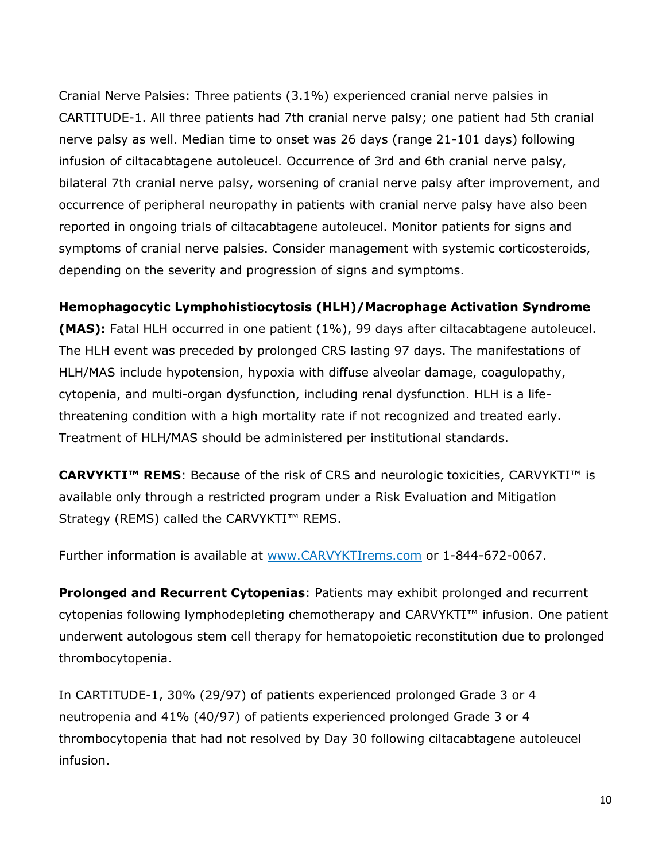Cranial Nerve Palsies: Three patients (3.1%) experienced cranial nerve palsies in CARTITUDE-1. All three patients had 7th cranial nerve palsy; one patient had 5th cranial nerve palsy as well. Median time to onset was 26 days (range 21-101 days) following infusion of ciltacabtagene autoleucel. Occurrence of 3rd and 6th cranial nerve palsy, bilateral 7th cranial nerve palsy, worsening of cranial nerve palsy after improvement, and occurrence of peripheral neuropathy in patients with cranial nerve palsy have also been reported in ongoing trials of ciltacabtagene autoleucel. Monitor patients for signs and symptoms of cranial nerve palsies. Consider management with systemic corticosteroids, depending on the severity and progression of signs and symptoms.

# **Hemophagocytic Lymphohistiocytosis (HLH)/Macrophage Activation Syndrome**

**(MAS):** Fatal HLH occurred in one patient (1%), 99 days after ciltacabtagene autoleucel. The HLH event was preceded by prolonged CRS lasting 97 days. The manifestations of HLH/MAS include hypotension, hypoxia with diffuse alveolar damage, coagulopathy, cytopenia, and multi-organ dysfunction, including renal dysfunction. HLH is a lifethreatening condition with a high mortality rate if not recognized and treated early. Treatment of HLH/MAS should be administered per institutional standards.

**CARVYKTI™ REMS**: Because of the risk of CRS and neurologic toxicities, CARVYKTI™ is available only through a restricted program under a Risk Evaluation and Mitigation Strategy (REMS) called the CARVYKTI™ REMS.

Further information is available at [www.CARVYKTIrems.com](http://www.carvyktirems.com/) or 1-844-672-0067.

**Prolonged and Recurrent Cytopenias**: Patients may exhibit prolonged and recurrent cytopenias following lymphodepleting chemotherapy and CARVYKTI™ infusion. One patient underwent autologous stem cell therapy for hematopoietic reconstitution due to prolonged thrombocytopenia.

In CARTITUDE-1, 30% (29/97) of patients experienced prolonged Grade 3 or 4 neutropenia and 41% (40/97) of patients experienced prolonged Grade 3 or 4 thrombocytopenia that had not resolved by Day 30 following ciltacabtagene autoleucel infusion.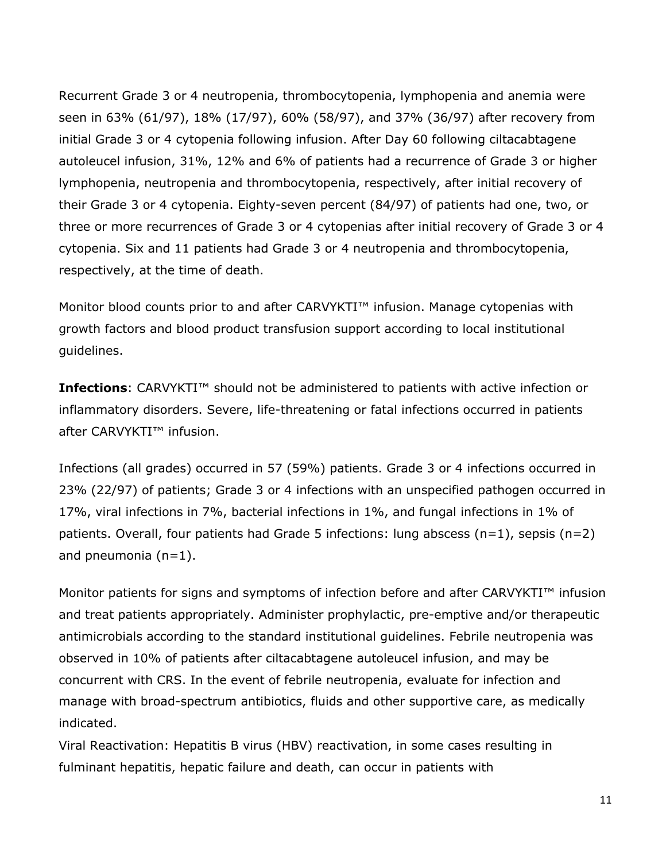Recurrent Grade 3 or 4 neutropenia, thrombocytopenia, lymphopenia and anemia were seen in 63% (61/97), 18% (17/97), 60% (58/97), and 37% (36/97) after recovery from initial Grade 3 or 4 cytopenia following infusion. After Day 60 following ciltacabtagene autoleucel infusion, 31%, 12% and 6% of patients had a recurrence of Grade 3 or higher lymphopenia, neutropenia and thrombocytopenia, respectively, after initial recovery of their Grade 3 or 4 cytopenia. Eighty-seven percent (84/97) of patients had one, two, or three or more recurrences of Grade 3 or 4 cytopenias after initial recovery of Grade 3 or 4 cytopenia. Six and 11 patients had Grade 3 or 4 neutropenia and thrombocytopenia, respectively, at the time of death.

Monitor blood counts prior to and after CARVYKTI<sup>™</sup> infusion. Manage cytopenias with growth factors and blood product transfusion support according to local institutional guidelines.

**Infections**: CARVYKTI™ should not be administered to patients with active infection or inflammatory disorders. Severe, life-threatening or fatal infections occurred in patients after CARVYKTI™ infusion.

Infections (all grades) occurred in 57 (59%) patients. Grade 3 or 4 infections occurred in 23% (22/97) of patients; Grade 3 or 4 infections with an unspecified pathogen occurred in 17%, viral infections in 7%, bacterial infections in 1%, and fungal infections in 1% of patients. Overall, four patients had Grade 5 infections: lung abscess (n=1), sepsis (n=2) and pneumonia  $(n=1)$ .

Monitor patients for signs and symptoms of infection before and after CARVYKTI™ infusion and treat patients appropriately. Administer prophylactic, pre-emptive and/or therapeutic antimicrobials according to the standard institutional guidelines. Febrile neutropenia was observed in 10% of patients after ciltacabtagene autoleucel infusion, and may be concurrent with CRS. In the event of febrile neutropenia, evaluate for infection and manage with broad-spectrum antibiotics, fluids and other supportive care, as medically indicated.

Viral Reactivation: Hepatitis B virus (HBV) reactivation, in some cases resulting in fulminant hepatitis, hepatic failure and death, can occur in patients with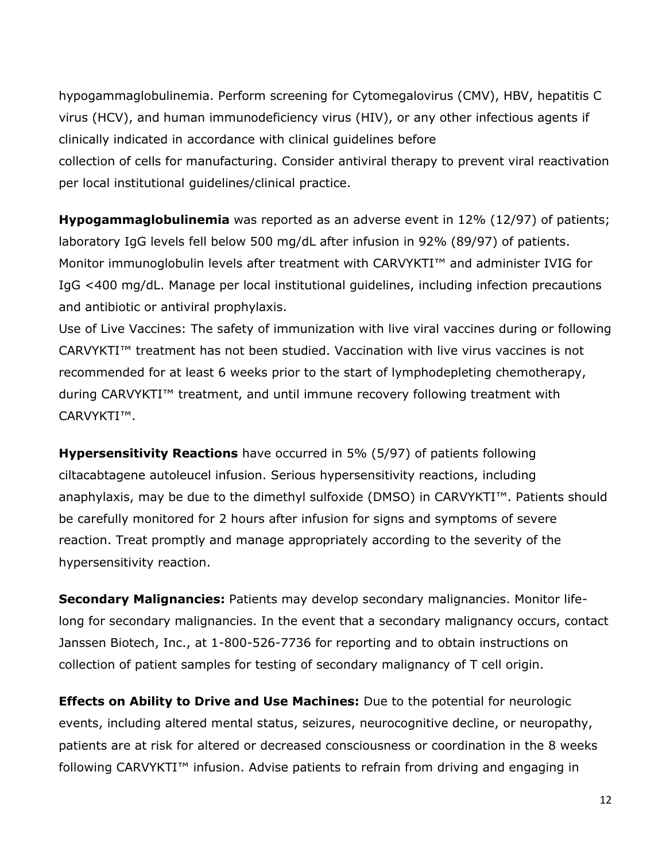hypogammaglobulinemia. Perform screening for Cytomegalovirus (CMV), HBV, hepatitis C virus (HCV), and human immunodeficiency virus (HIV), or any other infectious agents if clinically indicated in accordance with clinical guidelines before collection of cells for manufacturing. Consider antiviral therapy to prevent viral reactivation per local institutional guidelines/clinical practice.

**Hypogammaglobulinemia** was reported as an adverse event in 12% (12/97) of patients; laboratory IgG levels fell below 500 mg/dL after infusion in 92% (89/97) of patients. Monitor immunoglobulin levels after treatment with CARVYKTI™ and administer IVIG for IgG <400 mg/dL. Manage per local institutional guidelines, including infection precautions and antibiotic or antiviral prophylaxis.

Use of Live Vaccines: The safety of immunization with live viral vaccines during or following CARVYKTI™ treatment has not been studied. Vaccination with live virus vaccines is not recommended for at least 6 weeks prior to the start of lymphodepleting chemotherapy, during CARVYKTI™ treatment, and until immune recovery following treatment with CARVYKTI™.

**Hypersensitivity Reactions** have occurred in 5% (5/97) of patients following ciltacabtagene autoleucel infusion. Serious hypersensitivity reactions, including anaphylaxis, may be due to the dimethyl sulfoxide (DMSO) in CARVYKTI™. Patients should be carefully monitored for 2 hours after infusion for signs and symptoms of severe reaction. Treat promptly and manage appropriately according to the severity of the hypersensitivity reaction.

**Secondary Malignancies:** Patients may develop secondary malignancies. Monitor lifelong for secondary malignancies. In the event that a secondary malignancy occurs, contact Janssen Biotech, Inc., at 1-800-526-7736 for reporting and to obtain instructions on collection of patient samples for testing of secondary malignancy of T cell origin.

**Effects on Ability to Drive and Use Machines:** Due to the potential for neurologic events, including altered mental status, seizures, neurocognitive decline, or neuropathy, patients are at risk for altered or decreased consciousness or coordination in the 8 weeks following CARVYKTI™ infusion. Advise patients to refrain from driving and engaging in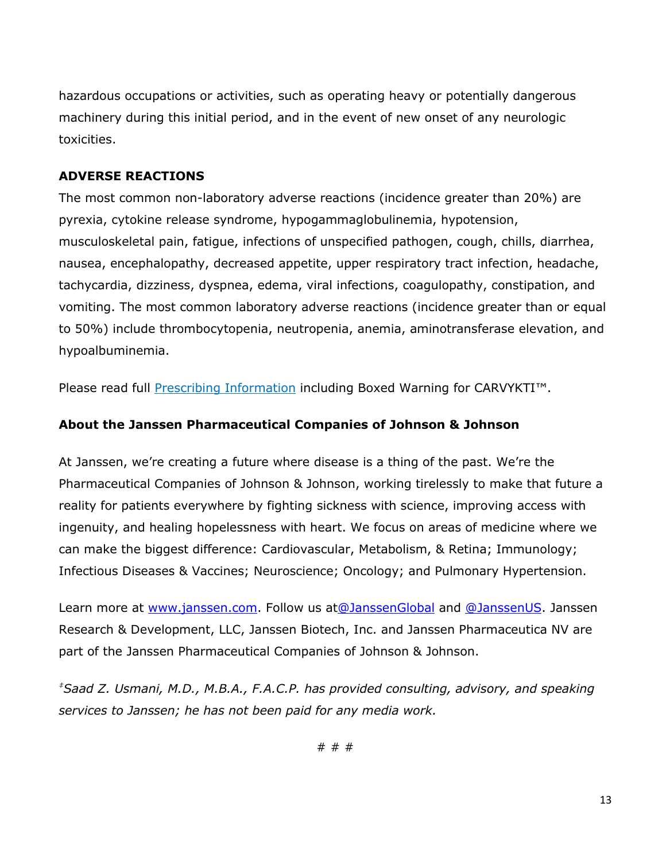hazardous occupations or activities, such as operating heavy or potentially dangerous machinery during this initial period, and in the event of new onset of any neurologic toxicities.

### **ADVERSE REACTIONS**

The most common non-laboratory adverse reactions (incidence greater than 20%) are pyrexia, cytokine release syndrome, hypogammaglobulinemia, hypotension, musculoskeletal pain, fatigue, infections of unspecified pathogen, cough, chills, diarrhea, nausea, encephalopathy, decreased appetite, upper respiratory tract infection, headache, tachycardia, dizziness, dyspnea, edema, viral infections, coagulopathy, constipation, and vomiting. The most common laboratory adverse reactions (incidence greater than or equal to 50%) include thrombocytopenia, neutropenia, anemia, aminotransferase elevation, and hypoalbuminemia.

Please read full **[Prescribing Information](https://www.janssenlabels.com/package-insert/product-monograph/prescribing-information/CARVYKTI-pi.pdf)** including Boxed Warning for CARVYKTI<sup>™</sup>.

### **About the Janssen Pharmaceutical Companies of Johnson & Johnson**

At Janssen, we're creating a future where disease is a thing of the past. We're the Pharmaceutical Companies of Johnson & Johnson, working tirelessly to make that future a reality for patients everywhere by fighting sickness with science, improving access with ingenuity, and healing hopelessness with heart. We focus on areas of medicine where we can make the biggest difference: Cardiovascular, Metabolism, & Retina; Immunology; Infectious Diseases & Vaccines; Neuroscience; Oncology; and Pulmonary Hypertension.

Learn more at [www.janssen.com.](https://nam12.safelinks.protection.outlook.com/?url=http%3A%2F%2Fwww.janssen.com%2F&data=05%7C01%7CEmily.Key%40edelman.com%7C2f730c5028b84caba3f208da3b4292ee%7Cb824bfb3918e43c2bb1cdcc1ba40a82b%7C0%7C0%7C637887454403872291%7CUnknown%7CTWFpbGZsb3d8eyJWIjoiMC4wLjAwMDAiLCJQIjoiV2luMzIiLCJBTiI6Ik1haWwiLCJXVCI6Mn0%3D%7C3000%7C%7C%7C&sdata=5LEcMLqZ6TlvuJeynqGLy5PJnG%2BeL0Xf783rsIrXLfA%3D&reserved=0) Follow us a[t@JanssenGlobal](https://twitter.com/JanssenGlobal) and [@JanssenUS.](https://twitter.com/JanssenUS?ref_src=twsrc%5Egoogle%7Ctwcamp%5Eserp%7Ctwgr%5Eauthor) Janssen Research & Development, LLC, Janssen Biotech, Inc. and Janssen Pharmaceutica NV are part of the Janssen Pharmaceutical Companies of Johnson & Johnson.

*‡Saad Z. Usmani, M.D., M.B.A., F.A.C.P. has provided consulting, advisory, and speaking services to Janssen; he has not been paid for any media work.*

# # #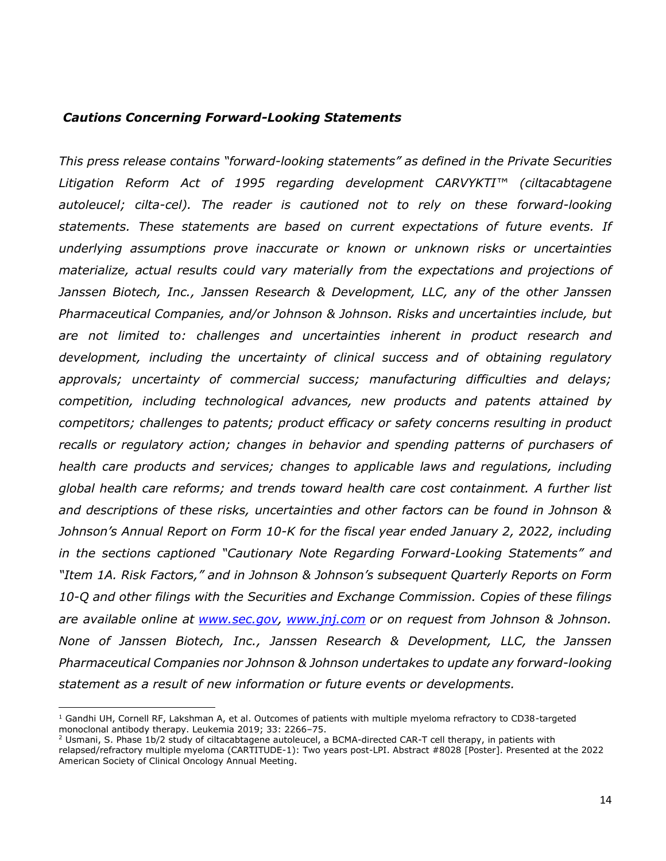#### *Cautions Concerning Forward-Looking Statements*

*This press release contains "forward-looking statements" as defined in the Private Securities Litigation Reform Act of 1995 regarding development CARVYKTI™ (ciltacabtagene*  autoleucel; cilta-cel). The reader is cautioned not to rely on these forward-looking *statements. These statements are based on current expectations of future events. If underlying assumptions prove inaccurate or known or unknown risks or uncertainties materialize, actual results could vary materially from the expectations and projections of Janssen Biotech, Inc., Janssen Research & Development, LLC, any of the other Janssen Pharmaceutical Companies, and/or Johnson & Johnson. Risks and uncertainties include, but are not limited to: challenges and uncertainties inherent in product research and development, including the uncertainty of clinical success and of obtaining regulatory approvals; uncertainty of commercial success; manufacturing difficulties and delays; competition, including technological advances, new products and patents attained by competitors; challenges to patents; product efficacy or safety concerns resulting in product recalls or regulatory action; changes in behavior and spending patterns of purchasers of health care products and services; changes to applicable laws and regulations, including global health care reforms; and trends toward health care cost containment. A further list and descriptions of these risks, uncertainties and other factors can be found in Johnson & Johnson's Annual Report on Form 10-K for the fiscal year ended January 2, 2022, including in the sections captioned "Cautionary Note Regarding Forward-Looking Statements" and "Item 1A. Risk Factors," and in Johnson & Johnson's subsequent Quarterly Reports on Form 10-Q and other filings with the Securities and Exchange Commission. Copies of these filings are available online at [www.sec.gov,](http://www.sec.gov/) [www.jnj.com](http://www.jnj.com/) or on request from Johnson & Johnson. None of Janssen Biotech, Inc., Janssen Research & Development, LLC, the Janssen Pharmaceutical Companies nor Johnson & Johnson undertakes to update any forward-looking statement as a result of new information or future events or developments.*

 $1$  Gandhi UH, Cornell RF, Lakshman A, et al. Outcomes of patients with multiple myeloma refractory to CD38-targeted monoclonal antibody therapy. Leukemia 2019; 33: 2266–75.

 $2$  Usmani, S. Phase 1b/2 study of ciltacabtagene autoleucel, a BCMA-directed CAR-T cell therapy, in patients with relapsed/refractory multiple myeloma (CARTITUDE-1): Two years post-LPI. Abstract #8028 [Poster]. Presented at the 2022 American Society of Clinical Oncology Annual Meeting.